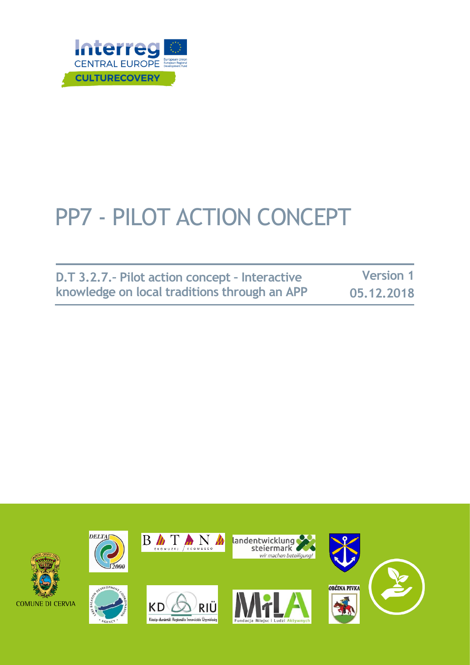

# PP7 - PILOT ACTION CONCEPT

| D.T 3.2.7. - Pilot action concept - Interactive | <b>Version 1</b> |
|-------------------------------------------------|------------------|
| knowledge on local traditions through an APP    | 05.12.2018       |

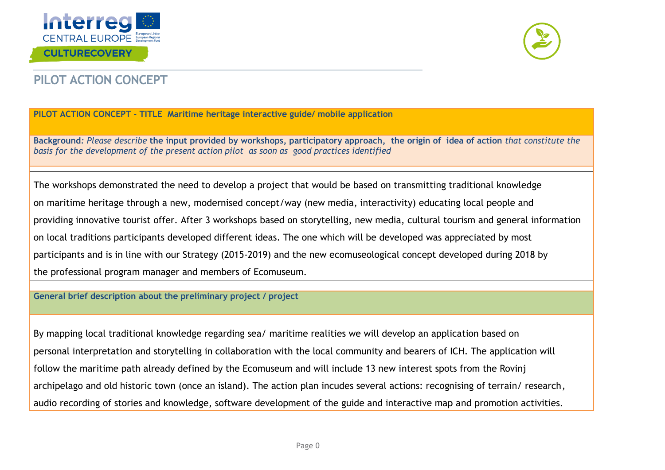



## **PILOT ACTION CONCEPT**

#### **PILOT ACTION CONCEPT - TITLE Maritime heritage interactive guide/ mobile application**

**Background***: Please describe* **the input provided by workshops, participatory approach, the origin of idea of action** *that constitute the basis for the development of the present action pilot as soon as good practices identified* 

The workshops demonstrated the need to develop a project that would be based on transmitting traditional knowledge on maritime heritage through a new, modernised concept/way (new media, interactivity) educating local people and providing innovative tourist offer. After 3 workshops based on storytelling, new media, cultural tourism and general information on local traditions participants developed different ideas. The one which will be developed was appreciated by most participants and is in line with our Strategy (2015-2019) and the new ecomuseological concept developed during 2018 by the professional program manager and members of Ecomuseum.

**General brief description about the preliminary project / project** 

By mapping local traditional knowledge regarding sea/ maritime realities we will develop an application based on personal interpretation and storytelling in collaboration with the local community and bearers of ICH. The application will follow the maritime path already defined by the Ecomuseum and will include 13 new interest spots from the Rovinj archipelago and old historic town (once an island). The action plan incudes several actions: recognising of terrain/ research, audio recording of stories and knowledge, software development of the guide and interactive map and promotion activities.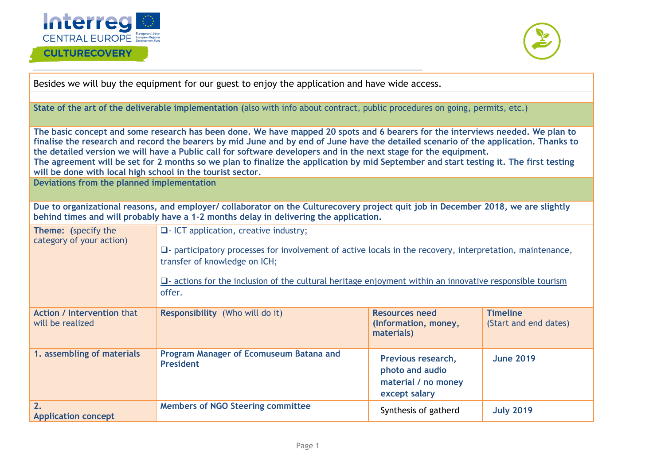

#### **CULTURECOVERY**



Besides we will buy the equipment for our guest to enjoy the application and have wide access.

**State of the art of the deliverable implementation (**also with info about contract, public procedures on going, permits, etc.)

**The basic concept and some research has been done. We have mapped 20 spots and 6 bearers for the interviews needed. We plan to finalise the research and record the bearers by mid June and by end of June have the detailed scenario of the application. Thanks to the detailed version we will have a Public call for software developers and in the next stage for the equipment. The agreement will be set for 2 months so we plan to finalize the application by mid September and start testing it. The first testing** 

**will be done with local high school in the tourist sector.**

**Deviations from the planned implementation**

**Due to organizational reasons, and employer/ collaborator on the Culturecovery project quit job in December 2018, we are slightly behind times and will probably have a 1-2 months delay in delivering the application.**

| Theme: (specify the<br>category of your action)       | $\Box$ - ICT application, creative industry;<br>$\square$ - participatory processes for involvement of active locals in the recovery, interpretation, maintenance,<br>transfer of knowledge on ICH;<br>$\Box$ actions for the inclusion of the cultural heritage enjoyment within an innovative responsible tourism<br>offer. |                                                                               |                                          |
|-------------------------------------------------------|-------------------------------------------------------------------------------------------------------------------------------------------------------------------------------------------------------------------------------------------------------------------------------------------------------------------------------|-------------------------------------------------------------------------------|------------------------------------------|
| <b>Action / Intervention that</b><br>will be realized | <b>Responsibility</b> (Who will do it)                                                                                                                                                                                                                                                                                        | <b>Resources need</b><br>(Information, money,<br>materials)                   | <b>Timeline</b><br>(Start and end dates) |
| 1. assembling of materials                            | Program Manager of Ecomuseum Batana and<br><b>President</b>                                                                                                                                                                                                                                                                   | Previous research,<br>photo and audio<br>material / no money<br>except salary | <b>June 2019</b>                         |
| 2.<br><b>Application concept</b>                      | <b>Members of NGO Steering committee</b>                                                                                                                                                                                                                                                                                      | Synthesis of gatherd                                                          | <b>July 2019</b>                         |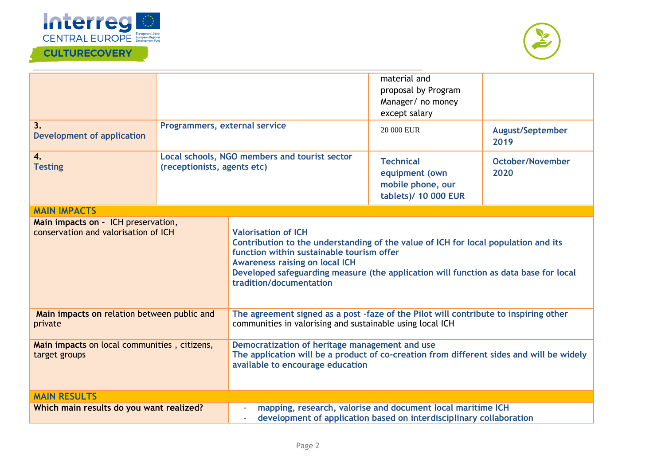

## **CULTURECOVERY**



| 3.<br><b>Development of application</b>                                     | Programmers, external service                                                |                                                                                                                                                                                                                                                                                                                           | material and<br>proposal by Program<br>Manager/ no money<br>except salary<br>20 000 EUR                                            | <b>August/September</b><br>2019 |
|-----------------------------------------------------------------------------|------------------------------------------------------------------------------|---------------------------------------------------------------------------------------------------------------------------------------------------------------------------------------------------------------------------------------------------------------------------------------------------------------------------|------------------------------------------------------------------------------------------------------------------------------------|---------------------------------|
| 4.<br><b>Testing</b>                                                        | Local schools, NGO members and tourist sector<br>(receptionists, agents etc) |                                                                                                                                                                                                                                                                                                                           | <b>Technical</b><br>equipment (own<br>mobile phone, our<br>tablets)/ 10 000 EUR                                                    | October/November<br>2020        |
| <b>MAIN IMPACTS</b>                                                         |                                                                              |                                                                                                                                                                                                                                                                                                                           |                                                                                                                                    |                                 |
| Main impacts on - ICH preservation,<br>conservation and valorisation of ICH |                                                                              | <b>Valorisation of ICH</b><br>Contribution to the understanding of the value of ICH for local population and its<br>function within sustainable tourism offer<br><b>Awareness raising on local ICH</b><br>Developed safeguarding measure (the application will function as data base for local<br>tradition/documentation |                                                                                                                                    |                                 |
| Main impacts on relation between public and<br>private                      |                                                                              | The agreement signed as a post -faze of the Pilot will contribute to inspiring other<br>communities in valorising and sustainable using local ICH                                                                                                                                                                         |                                                                                                                                    |                                 |
| Main impacts on local communities, citizens,<br>target groups               |                                                                              | Democratization of heritage management and use<br>The application will be a product of co-creation from different sides and will be widely<br>available to encourage education                                                                                                                                            |                                                                                                                                    |                                 |
| <b>MAIN RESULTS</b>                                                         |                                                                              |                                                                                                                                                                                                                                                                                                                           |                                                                                                                                    |                                 |
| Which main results do you want realized?                                    |                                                                              |                                                                                                                                                                                                                                                                                                                           | mapping, research, valorise and document local maritime ICH<br>development of application based on interdisciplinary collaboration |                                 |